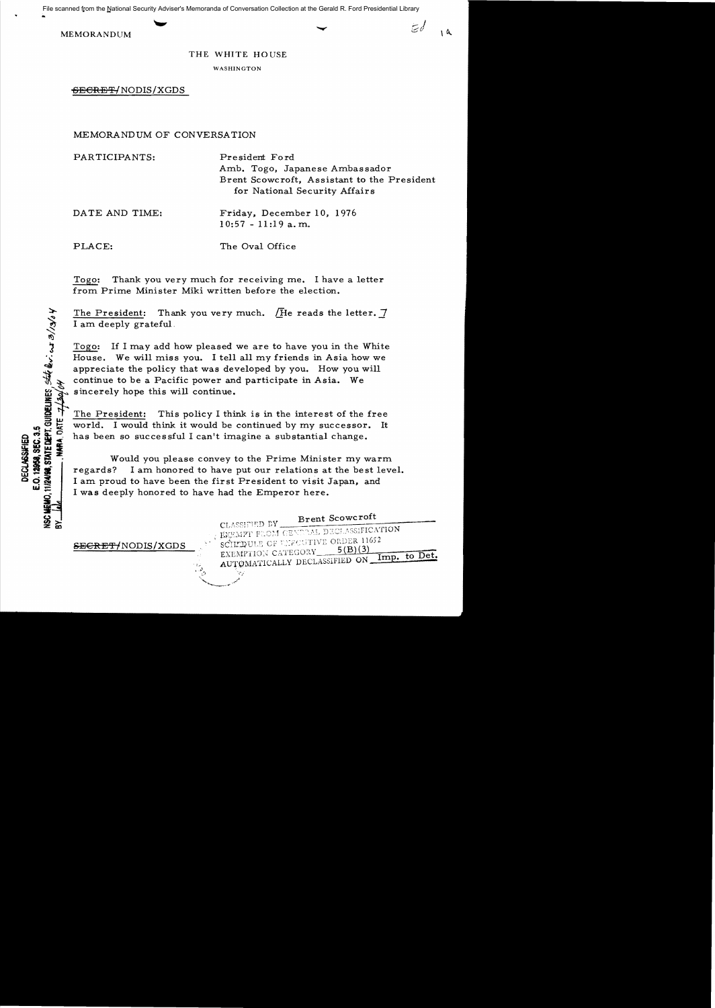MEMORANDUM

...

### THE WHITE HOUSE

WASHINGTON

<del>SECRET/</del>NODIS/XGDS

MEMORANDUM OF CONVERSATION

| PARTICIPANTS:  | President Ford<br>Amb. Togo, Japanese Ambassador<br>Brent Scowcroft, Assistant to the President<br>for National Security Affairs |
|----------------|----------------------------------------------------------------------------------------------------------------------------------|
| DATE AND TIME: | Friday, December 10, 1976<br>$10:57 - 11:19$ a.m.                                                                                |
| PLACE:         | The Oval Office                                                                                                                  |

Togo: Thank you very much for recelvmg me. I have a letter from Prime Minister Miki written before the election.

The President: Thank you very much.  $\sqrt{H}$ e reads the letter.  $\vec{7}$ I am deeply grateful.

<sup>~</sup>Togo: If I may add how pleased we are to have you in the White House. We will miss you. I tell all my friends in Asia how we appreciate the policy that was developed by you. How you will sincerely hope this will continue.

x continue to be a Pacific power and participate in Asia. We<br>sincerely hope this will continue.<br>The President: This policy I think is in the interest of the<br>world. I would think it would be continued by my successor<br>has be The President: This policy I think is in the interest of the free

:::» w "" ~ t:c world. I would think it would be continued by my successor. It Fax convey to the Prime Minister my would you please convey to the Prime Minister my would you please convey to the Prime Minister my would you please convey to the Prime Minister my would you please convey to the Prime Mi Would you please convey to the Prime Minister my warm regards? I am honored to have put our relations at the best level. I am proud to have been the first President to visit Japan, and I was deeply honored to have had the Emperor here.

SECRET/NODIS/XGDS

Brent Scowcroft CLASSIFIED BY. EXEMPT FROM GENERAL DECLASSIFICATION SCHERULE OF LECUTIVE ORDER 11652  $5(B)(3)$ EXEMPTION CATEGORY to Det. Imp. AUTOMATICALLY DECLASSIFIED ON

**33FIED<br>1, SEC. 3<br>ATE DEPY**<br>MARA, C **DECLASSED**<br>**C.12959, SEATE DEC.**<br>2498, SEATE Page 1<br>1 and 1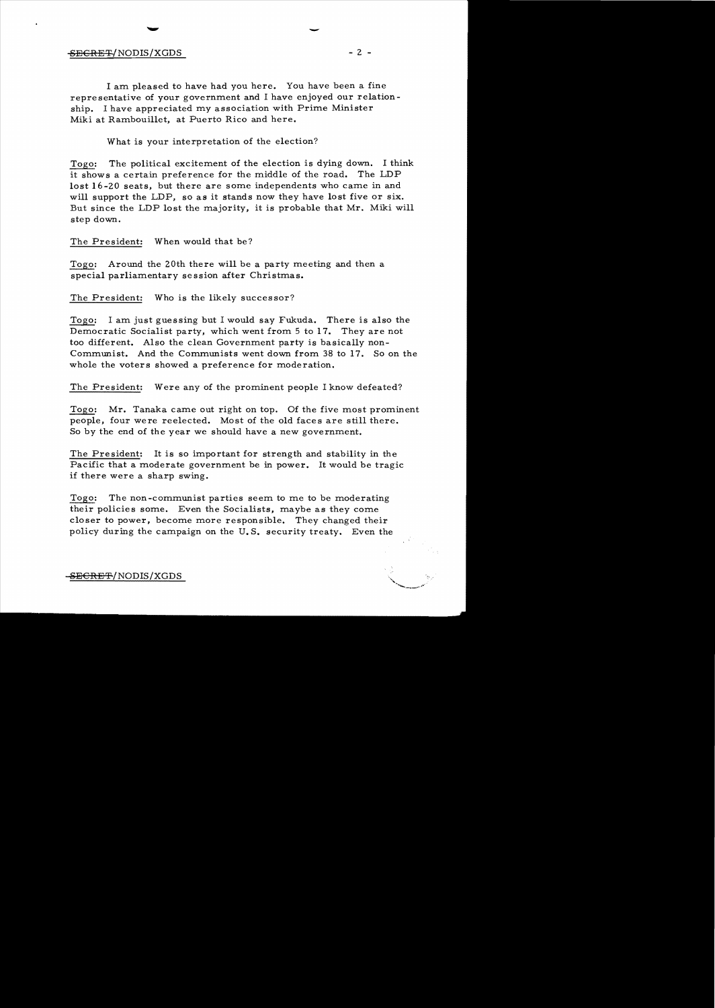## $-$  SECRET/NODIS/XGDS  $-$  2 -

I am pleased to have had you here. You have been a fine representative of your government and I have enjoyed our relationship. I have appreciated my association with Prime Minister Miki at Rambouillet, at Puerto Rico and here.

What is your interpretation of the election?

Togo: The political excitement of the election is dying down. I think it shows a certain preference for the middle of the road. The LDP lost 16-20 seats, but there are some independents who came in and will support the LDP, so as it stands now they have lost five or six. But since the LDP lost the majority, it is probable that Mr. Miki will step down.

The President: When would that be?

Togo: Around the 20th there will be a party meeting and then a special parliamentary se ssion after Christmas.

The President: Who is the likely successor?

Togo: I am just guessing but I would say Fukuda. There is also the Democratic Socialist party, which went from 5 to 17. They are not too different. Also the clean Government party is basically non-Communist. And the Communists went down from 38 to 17. So on the whole the voters showed a preference for moderation.

The President: Were any of the prominent people I know defeated?

Togo: Mr. Tanaka came out right on top. Of the five most prominent people, four were reelected. Most of the old faces are still there. So by the end of the year we should have a new government.

The President: It is so important for strength and stability in the Pacific that a moderate government be in power. It would be tragic if there were a sharp swing.

Togo: The non-communist parties seem to me to be moderating their policies some. Even the Socialists, maybe as they come closer to power, become more responsible. They changed their policy during the campaign on the U. S. security treaty. Even the

-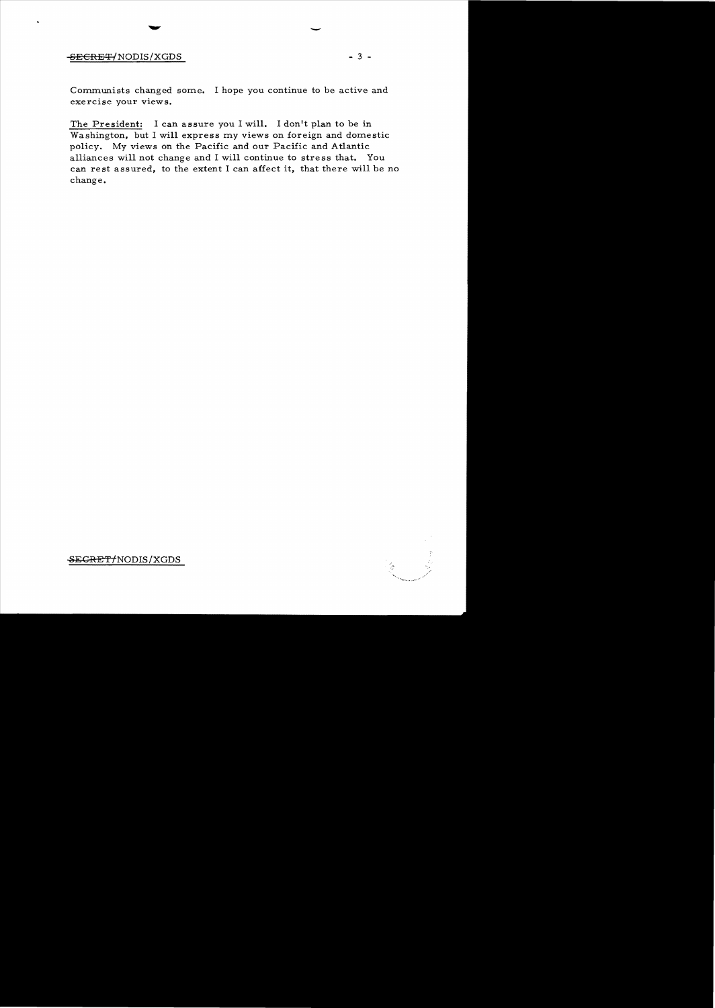# -8ECRET/NODIS/XGDS - 3 -

-

Communists changed some. I hope you continue to be active and exercise your views.

The President: I can assure you I will. I don't plan to be in Washington, but I will express my views on foreign and domestic policy. My views on the Pacific and our Pacific and Atlantic alliances will not change and I will continue to stress that. You can rest assured, to the extent I can affect it, that there will be no change.

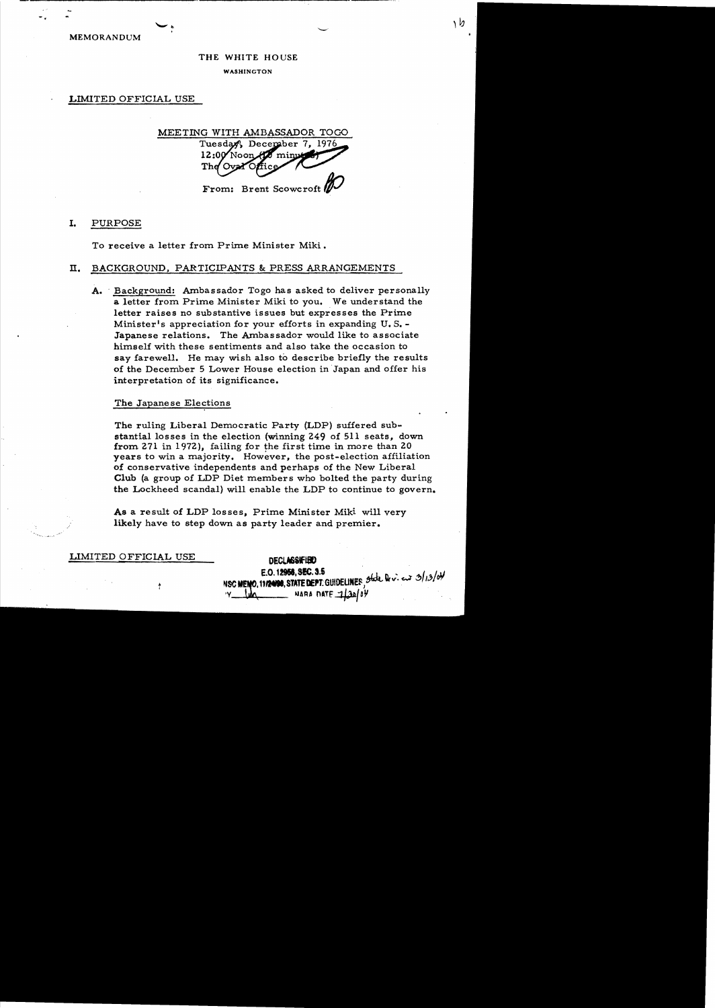**MEMORANDUM** 

### THE WHITE HOUSE

**WASHINGTON** 

LIMITED OFFICIAL USE

MEETING WITH AMBASSADOR TOGO Tuesday, December 7, 1976 12:00 'Noon mini The From: Brent Scowcroft

#### I. PURPOSE

To receive a letter from Prime Minister Miki.

#### BACKGROUND, PARTICIPANTS & PRESS ARRANGEMENTS п.

A. Background: Ambassador Togo has asked to deliver personally a letter from Prime Minister Miki to you. We understand the letter raises no substantive issues but expresses the Prime Minister's appreciation for your efforts in expanding U.S. -Japanese relations. The Ambassador would like to associate himself with these sentiments and also take the occasion to say farewell. He may wish also to describe briefly the results of the December 5 Lower House election in Japan and offer his interpretation of its significance.

### The Japanese Elections

The ruling Liberal Democratic Party (LDP) suffered substantial losses in the election (winning 249 of 511 seats, down from 271 in 1972), failing for the first time in more than 20 years to win a majority. However, the post-election affiliation of conservative independents and perhaps of the New Liberal Club (a group of LDP Diet members who bolted the party during the Lockheed scandal) will enable the LDP to continue to govern.

As a result of LDP losses, Prime Minister Miki will very likely have to step down as party leader and premier.

LIMITED OFFICIAL USE

**DECLASSIFIED**  $E.0.12956, SEC.3.5$ NSC MENO, 11124198, STATE DEPT. GUIDELINES State Dr. i. en 3/13/04 NARA DATE 1130/04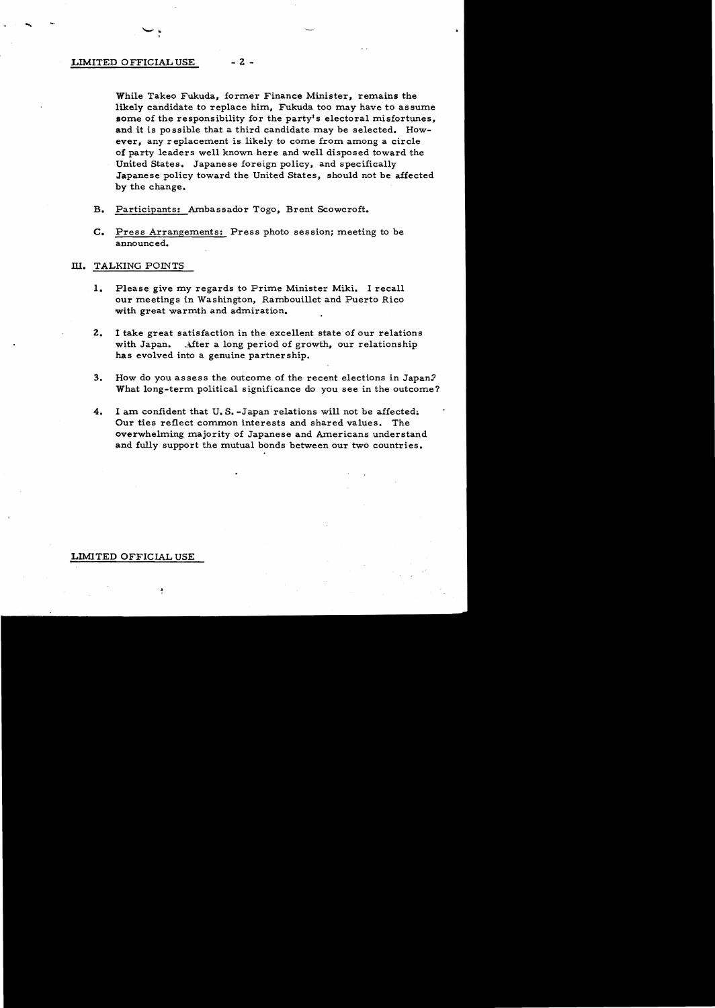### LIMITED OFFICIAL USE - 2 -

While Takeo Fukuda, former Finance Minister, remains the likely candidate to replace him, Fukuda too may have to assume some of the responsibility for the party's electoral misfortunes, and it is possible that a third candidate may be selected. However, any replacement is likely to come from among a circle of party leaders well known here and well disposed toward the United States. Japanese foreign policy, and specifically Japanese policy toward the United States, should not be affected by the change.

- B. Participants: Ambassador Togo, Brent Scowcroft.
- C. Press Arrangements: Press photo session; meeting to be announced.

## III. TALKING POINTS

- 1. Please give my regards to Prime Minister Miki. I recall our meetings in Washington, Rambouillet and Puerto Rico with great warmth and admiration.
- 2. I take great satisfaction in the excellent state of our relations with Japan. After a long period of growth, our relationship has evolved into a genuine partnership.
- 3. How do you assess the outcome of the recent elections in Japan? What long-term political significance do you see in the outcome?
- 4. I am confident that U.S.-Japan relations will not be affected. Our ties reflect common interests and shared values. The overwhelming majority of Japanese and Americans understand and fully support the mutual bonds between our two countries.

## LIMITED OFFICIAL USE

.. ;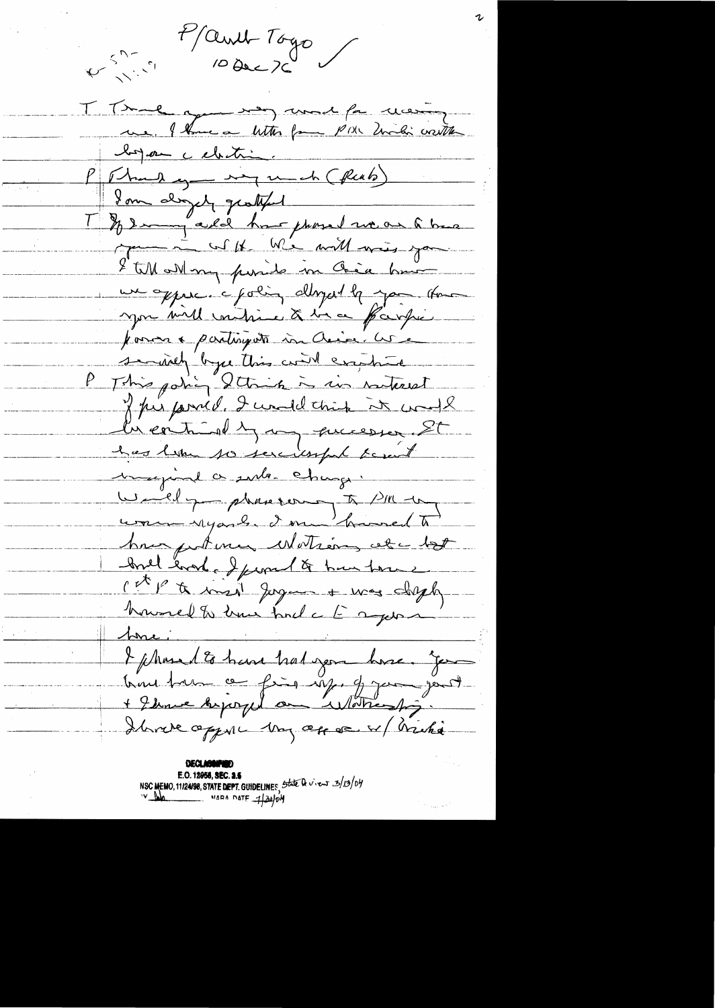Part Toyo T True qui res mod for moins loyer celeting<br>P (Thankey signed (flat)  $\mathbb{R}$  . The set of  $\mathbb{R}$ 1 % I may ald have phosed we are to back me in un ble m'e will was you I till all my punite in Chica hui un oppure. c poling alloyed be you that you vill vaitire & lie of parfie pour a partisyon un Aire les se inclu byce this will explored This policy String is in rate of 2 présented. I condettint it couple la contrio dy my quicesser. St has like to sercissful facent maginal a sub-change. Writely phaseour To PM try comme regarde donne humedt have put men Motions etc tot brill each of from to hun tone cet p to inside Jaguar + mas closely howevel to true find a to apport hori I phased to have had you have. Je bien tous ce fins up. J jou jant Ibrare opper My op en Micha

**DECLASI** E.O. 12958, SEC. 3.5 NSC MEMO, 11/24/98, STATE DEPT. GUIDELINES, State Devies 3/13/04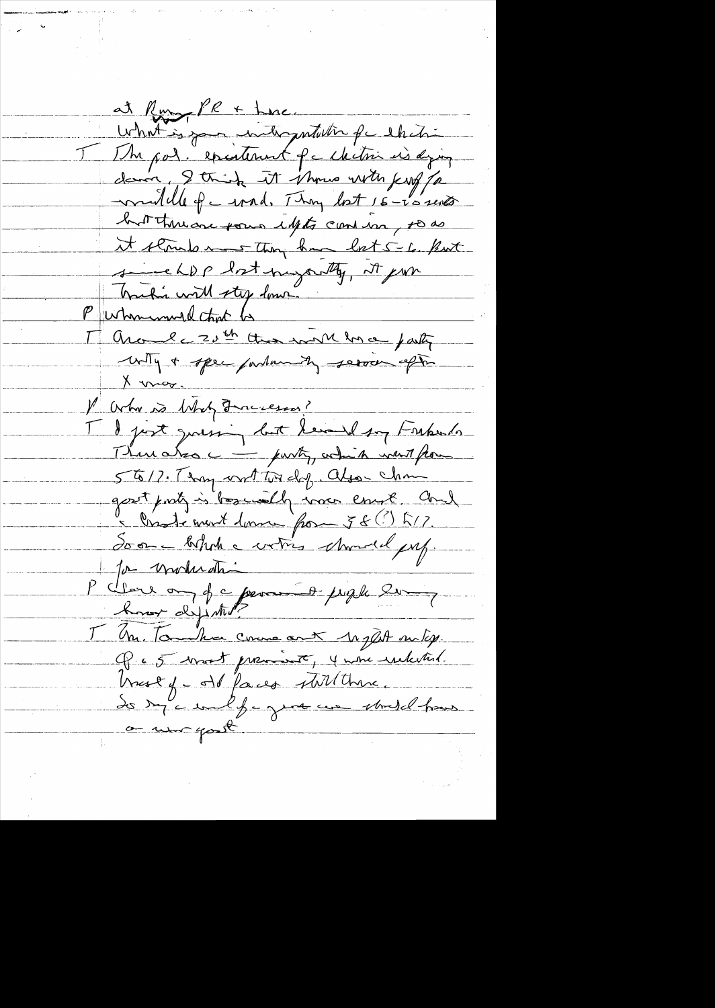at Run, PR + Luc. What is your intergratulin for chitri T The pol. epistement facture is dying down, I think it shows with kuf for wouldle of c wad. They lost 16-15 sents but there forms lights can use, to as It stouds ment they know let 5-6. But sincehop bot myartly, it pour Traction with step down. Around c 20th than work have justy with a spec parlamenty server after X max. V Orha is Whity Funciesas? I I just quising but herand soy Frepents There also c - purty, which went from 5617. They writted dy. algo-chan gost prob is boscially was court and " Onde mont donne pour 58 (?) L17 Soon - behalf a votres characted put. for moderation P cleare on of a permis people les Know dyintil? T Un. Tombre come out 10 glut on ty. Q 65 vroit premiert, 4 une reclated. hust y-old faces still there. or un gost.